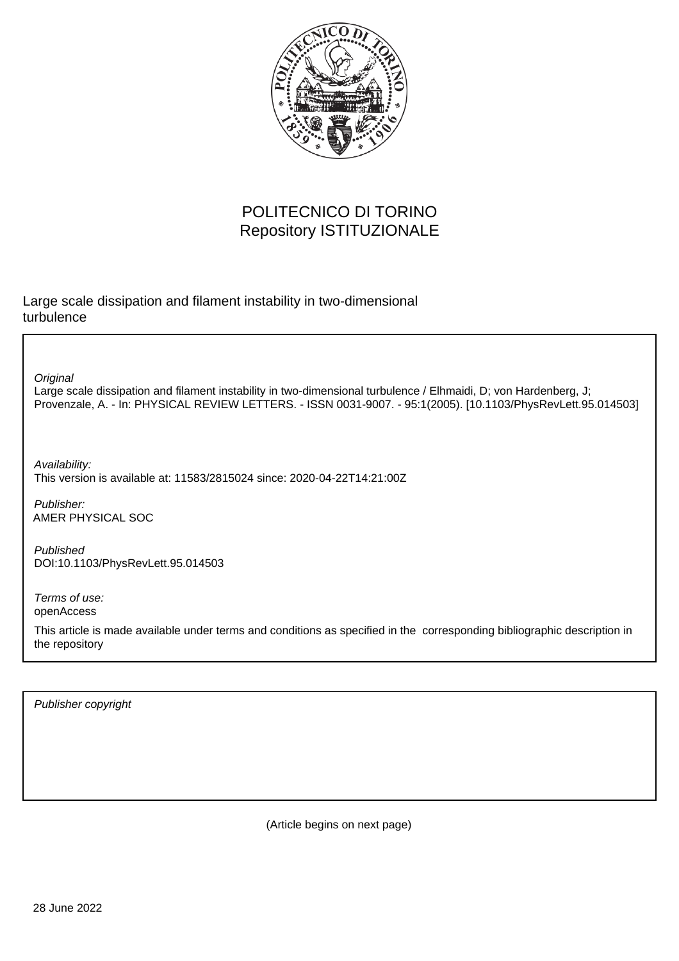

## POLITECNICO DI TORINO Repository ISTITUZIONALE

Large scale dissipation and filament instability in two-dimensional turbulence

**Original** 

Large scale dissipation and filament instability in two-dimensional turbulence / Elhmaidi, D; von Hardenberg, J; Provenzale, A. - In: PHYSICAL REVIEW LETTERS. - ISSN 0031-9007. - 95:1(2005). [10.1103/PhysRevLett.95.014503]

Availability: This version is available at: 11583/2815024 since: 2020-04-22T14:21:00Z

Publisher: AMER PHYSICAL SOC

Published DOI:10.1103/PhysRevLett.95.014503

Terms of use: openAccess

This article is made available under terms and conditions as specified in the corresponding bibliographic description in the repository

Publisher copyright

(Article begins on next page)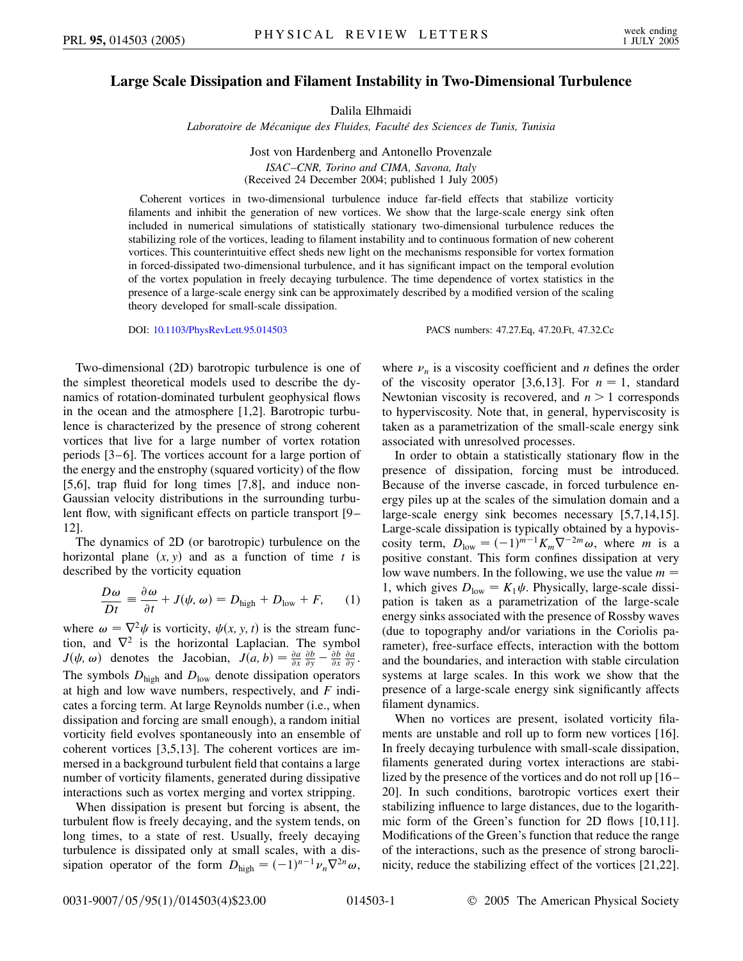## **Large Scale Dissipation and Filament Instability in Two-Dimensional Turbulence**

Dalila Elhmaidi

*Laboratoire de Me´canique des Fluides, Faculte´ des Sciences de Tunis, Tunisia*

Jost von Hardenberg and Antonello Provenzale *ISAC–CNR, Torino and CIMA, Savona, Italy*

(Received 24 December 2004; published 1 July 2005)

Coherent vortices in two-dimensional turbulence induce far-field effects that stabilize vorticity filaments and inhibit the generation of new vortices. We show that the large-scale energy sink often included in numerical simulations of statistically stationary two-dimensional turbulence reduces the stabilizing role of the vortices, leading to filament instability and to continuous formation of new coherent vortices. This counterintuitive effect sheds new light on the mechanisms responsible for vortex formation in forced-dissipated two-dimensional turbulence, and it has significant impact on the temporal evolution of the vortex population in freely decaying turbulence. The time dependence of vortex statistics in the presence of a large-scale energy sink can be approximately described by a modified version of the scaling theory developed for small-scale dissipation.

DOI: [10.1103/PhysRevLett.95.014503](http://dx.doi.org/10.1103/PhysRevLett.95.014503) PACS numbers: 47.27.Eq, 47.20.Ft, 47.32.Cc

Two-dimensional (2D) barotropic turbulence is one of the simplest theoretical models used to describe the dynamics of rotation-dominated turbulent geophysical flows in the ocean and the atmosphere [1,2]. Barotropic turbulence is characterized by the presence of strong coherent vortices that live for a large number of vortex rotation periods [3–6]. The vortices account for a large portion of the energy and the enstrophy (squared vorticity) of the flow [5,6], trap fluid for long times [7,8], and induce non-Gaussian velocity distributions in the surrounding turbulent flow, with significant effects on particle transport [9– 12].

The dynamics of 2D (or barotropic) turbulence on the horizontal plane  $(x, y)$  and as a function of time *t* is described by the vorticity equation

$$
\frac{D\omega}{Dt} \equiv \frac{\partial \omega}{\partial t} + J(\psi, \omega) = D_{\text{high}} + D_{\text{low}} + F, \quad (1)
$$

where  $\omega = \nabla^2 \psi$  is vorticity,  $\psi(x, y, t)$  is the stream function, and  $\nabla^2$  is the horizontal Laplacian. The symbol *J*( $\psi$ ,  $\omega$ ) denotes the Jacobian,  $J(a, b) = \frac{\partial a}{\partial x} \frac{\partial b}{\partial y} - \frac{\partial b}{\partial x} \frac{\partial a}{\partial y}$ . The symbols  $D_{\text{high}}$  and  $D_{\text{low}}$  denote dissipation operators at high and low wave numbers, respectively, and *F* indicates a forcing term. At large Reynolds number (i.e., when dissipation and forcing are small enough), a random initial vorticity field evolves spontaneously into an ensemble of coherent vortices [3,5,13]. The coherent vortices are immersed in a background turbulent field that contains a large number of vorticity filaments, generated during dissipative interactions such as vortex merging and vortex stripping.

When dissipation is present but forcing is absent, the turbulent flow is freely decaying, and the system tends, on long times, to a state of rest. Usually, freely decaying turbulence is dissipated only at small scales, with a dissipation operator of the form  $D_{\text{high}} = (-1)^{n-1} \nu_n \nabla^{2n} \omega$ , where  $\nu_n$  is a viscosity coefficient and *n* defines the order of the viscosity operator [3,6,13]. For  $n = 1$ , standard Newtonian viscosity is recovered, and *n >* 1 corresponds to hyperviscosity. Note that, in general, hyperviscosity is taken as a parametrization of the small-scale energy sink associated with unresolved processes.

In order to obtain a statistically stationary flow in the presence of dissipation, forcing must be introduced. Because of the inverse cascade, in forced turbulence energy piles up at the scales of the simulation domain and a large-scale energy sink becomes necessary [5,7,14,15]. Large-scale dissipation is typically obtained by a hypoviscosity term,  $D_{\text{low}} = (-1)^{m-1} K_m \nabla^{-2m} \omega$ , where *m* is a positive constant. This form confines dissipation at very low wave numbers. In the following, we use the value *m* 1, which gives  $D_{\text{low}} = K_1 \psi$ . Physically, large-scale dissipation is taken as a parametrization of the large-scale energy sinks associated with the presence of Rossby waves (due to topography and/or variations in the Coriolis parameter), free-surface effects, interaction with the bottom and the boundaries, and interaction with stable circulation systems at large scales. In this work we show that the presence of a large-scale energy sink significantly affects filament dynamics.

When no vortices are present, isolated vorticity filaments are unstable and roll up to form new vortices [16]. In freely decaying turbulence with small-scale dissipation, filaments generated during vortex interactions are stabilized by the presence of the vortices and do not roll up [16– 20]. In such conditions, barotropic vortices exert their stabilizing influence to large distances, due to the logarithmic form of the Green's function for 2D flows [10,11]. Modifications of the Green's function that reduce the range of the interactions, such as the presence of strong baroclinicity, reduce the stabilizing effect of the vortices [21,22].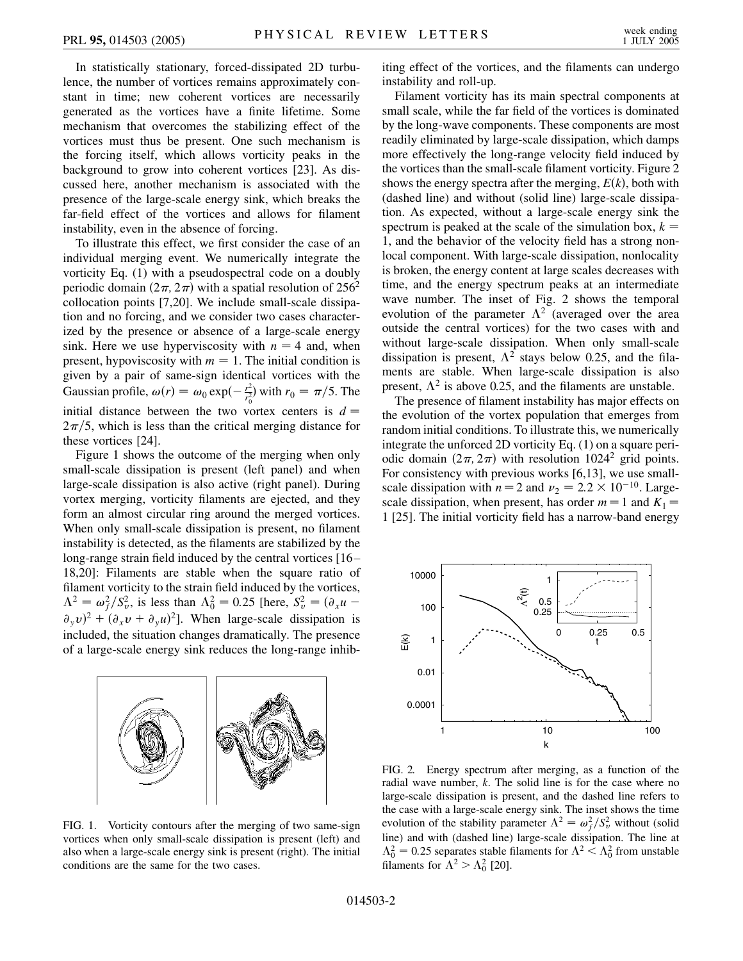In statistically stationary, forced-dissipated 2D turbulence, the number of vortices remains approximately constant in time; new coherent vortices are necessarily generated as the vortices have a finite lifetime. Some mechanism that overcomes the stabilizing effect of the vortices must thus be present. One such mechanism is the forcing itself, which allows vorticity peaks in the background to grow into coherent vortices [23]. As discussed here, another mechanism is associated with the presence of the large-scale energy sink, which breaks the far-field effect of the vortices and allows for filament instability, even in the absence of forcing.

To illustrate this effect, we first consider the case of an individual merging event. We numerically integrate the vorticity Eq. (1) with a pseudospectral code on a doubly periodic domain  $(2\pi, 2\pi)$  with a spatial resolution of 256<sup>2</sup> collocation points [7,20]. We include small-scale dissipation and no forcing, and we consider two cases characterized by the presence or absence of a large-scale energy sink. Here we use hyperviscosity with  $n = 4$  and, when present, hypoviscosity with  $m = 1$ . The initial condition is given by a pair of same-sign identical vortices with the Gaussian profile,  $\omega(r) = \omega_0 \exp(-\frac{r^2}{r_0^2})$  with  $r_0 = \pi/5$ . The initial distance between the two vortex centers is  $d =$  $2\pi/5$ , which is less than the critical merging distance for these vortices [24].

Figure 1 shows the outcome of the merging when only small-scale dissipation is present (left panel) and when large-scale dissipation is also active (right panel). During vortex merging, vorticity filaments are ejected, and they form an almost circular ring around the merged vortices. When only small-scale dissipation is present, no filament instability is detected, as the filaments are stabilized by the long-range strain field induced by the central vortices [16– 18,20]: Filaments are stable when the square ratio of filament vorticity to the strain field induced by the vortices,  $\Lambda^2 = \omega_f^2 / S_v^2$ , is less than  $\Lambda_0^2 = 0.25$  [here,  $S_v^2 = (\partial_x u - \partial_y u)$  $(\partial_y v)^2 + (\partial_x v + \partial_y u)^2$ . When large-scale dissipation is included, the situation changes dramatically. The presence of a large-scale energy sink reduces the long-range inhib-



FIG. 1. Vorticity contours after the merging of two same-sign vortices when only small-scale dissipation is present (left) and also when a large-scale energy sink is present (right). The initial conditions are the same for the two cases.

iting effect of the vortices, and the filaments can undergo instability and roll-up.

Filament vorticity has its main spectral components at small scale, while the far field of the vortices is dominated by the long-wave components. These components are most readily eliminated by large-scale dissipation, which damps more effectively the long-range velocity field induced by the vortices than the small-scale filament vorticity. Figure 2 shows the energy spectra after the merging,  $E(k)$ , both with (dashed line) and without (solid line) large-scale dissipation. As expected, without a large-scale energy sink the spectrum is peaked at the scale of the simulation box,  $k =$ 1, and the behavior of the velocity field has a strong nonlocal component. With large-scale dissipation, nonlocality is broken, the energy content at large scales decreases with time, and the energy spectrum peaks at an intermediate wave number. The inset of Fig. 2 shows the temporal evolution of the parameter  $\Lambda^2$  (averaged over the area outside the central vortices) for the two cases with and without large-scale dissipation. When only small-scale dissipation is present,  $\Lambda^2$  stays below 0.25, and the filaments are stable. When large-scale dissipation is also present,  $\Lambda^2$  is above 0.25, and the filaments are unstable.

The presence of filament instability has major effects on the evolution of the vortex population that emerges from random initial conditions. To illustrate this, we numerically integrate the unforced 2D vorticity Eq. (1) on a square periodic domain  $(2\pi, 2\pi)$  with resolution 1024<sup>2</sup> grid points. For consistency with previous works [6,13], we use smallscale dissipation with  $n = 2$  and  $\nu_2 = 2.2 \times 10^{-10}$ . Largescale dissipation, when present, has order  $m = 1$  and  $K_1 =$ 1 [25]. The initial vorticity field has a narrow-band energy



FIG. 2. Energy spectrum after merging, as a function of the radial wave number, *k*. The solid line is for the case where no large-scale dissipation is present, and the dashed line refers to the case with a large-scale energy sink. The inset shows the time evolution of the stability parameter  $\Lambda^2 = \omega_f^2 / S_v^2$  without (solid line) and with (dashed line) large-scale dissipation. The line at  $\Lambda_0^2 = 0.25$  separates stable filaments for  $\Lambda^2 < \Lambda_0^2$  from unstable filaments for  $\Lambda^2 > \Lambda_0^2$  [20].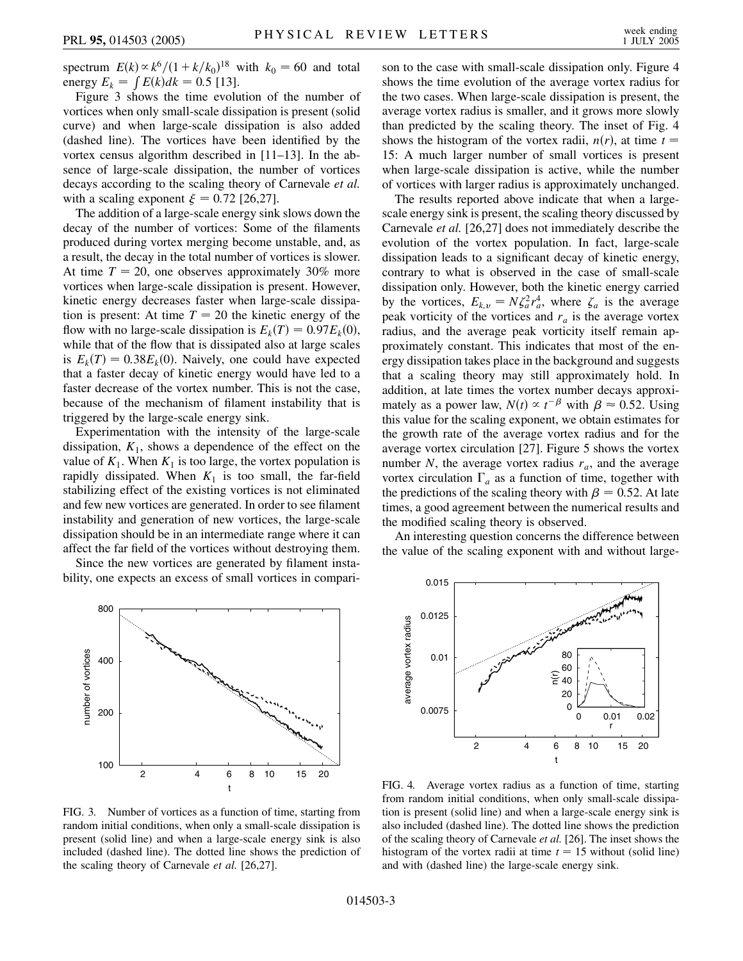spectrum  $E(k) \propto k^6 / (1 + k/k_0)^{18}$  with  $k_0 = 60$  and total energy  $E_k = \int E(k)dk = 0.5$  [13].

Figure 3 shows the time evolution of the number of vortices when only small-scale dissipation is present (solid curve) and when large-scale dissipation is also added (dashed line). The vortices have been identified by the vortex census algorithm described in [11–13]. In the absence of large-scale dissipation, the number of vortices decays according to the scaling theory of Carnevale *et al.* with a scaling exponent  $\xi = 0.72$  [26,27].

The addition of a large-scale energy sink slows down the decay of the number of vortices: Some of the filaments produced during vortex merging become unstable, and, as a result, the decay in the total number of vortices is slower. At time  $T = 20$ , one observes approximately 30% more vortices when large-scale dissipation is present. However, kinetic energy decreases faster when large-scale dissipation is present: At time  $T = 20$  the kinetic energy of the flow with no large-scale dissipation is  $E_k(T) = 0.97E_k(0)$ , while that of the flow that is dissipated also at large scales is  $E_k(T) = 0.38E_k(0)$ . Naively, one could have expected that a faster decay of kinetic energy would have led to a faster decrease of the vortex number. This is not the case, because of the mechanism of filament instability that is triggered by the large-scale energy sink.

Experimentation with the intensity of the large-scale dissipation,  $K_1$ , shows a dependence of the effect on the value of  $K_1$ . When  $K_1$  is too large, the vortex population is rapidly dissipated. When  $K_1$  is too small, the far-field stabilizing effect of the existing vortices is not eliminated and few new vortices are generated. In order to see filament instability and generation of new vortices, the large-scale dissipation should be in an intermediate range where it can affect the far field of the vortices without destroying them.

Since the new vortices are generated by filament instability, one expects an excess of small vortices in compari-

800

400

200

number of vortices

number of vortices

100



son to the case with small-scale dissipation only. Figure 4 shows the time evolution of the average vortex radius for the two cases. When large-scale dissipation is present, the average vortex radius is smaller, and it grows more slowly than predicted by the scaling theory. The inset of Fig. 4 shows the histogram of the vortex radii,  $n(r)$ , at time  $t =$ 15: A much larger number of small vortices is present when large-scale dissipation is active, while the number of vortices with larger radius is approximately unchanged.

The results reported above indicate that when a largescale energy sink is present, the scaling theory discussed by Carnevale *et al.* [26,27] does not immediately describe the evolution of the vortex population. In fact, large-scale dissipation leads to a significant decay of kinetic energy, contrary to what is observed in the case of small-scale dissipation only. However, both the kinetic energy carried by the vortices,  $E_{k,v} = N \zeta_a^2 r_a^4$ , where  $\zeta_a$  is the average peak vorticity of the vortices and  $r_a$  is the average vortex radius, and the average peak vorticity itself remain approximately constant. This indicates that most of the energy dissipation takes place in the background and suggests that a scaling theory may still approximately hold. In addition, at late times the vortex number decays approximately as a power law,  $N(t) \propto t^{-\beta}$  with  $\beta \approx 0.52$ . Using this value for the scaling exponent, we obtain estimates for the growth rate of the average vortex radius and for the average vortex circulation [27]. Figure 5 shows the vortex number *N*, the average vortex radius  $r_a$ , and the average vortex circulation  $\Gamma_a$  as a function of time, together with the predictions of the scaling theory with  $\beta = 0.52$ . At late times, a good agreement between the numerical results and the modified scaling theory is observed.

An interesting question concerns the difference between the value of the scaling exponent with and without large-



FIG. 4. Average vortex radius as a function of time, starting from random initial conditions, when only small-scale dissipation is present (solid line) and when a large-scale energy sink is also included (dashed line). The dotted line shows the prediction of the scaling theory of Carnevale *et al.* [26]. The inset shows the histogram of the vortex radii at time  $t = 15$  without (solid line) and with (dashed line) the large-scale energy sink.